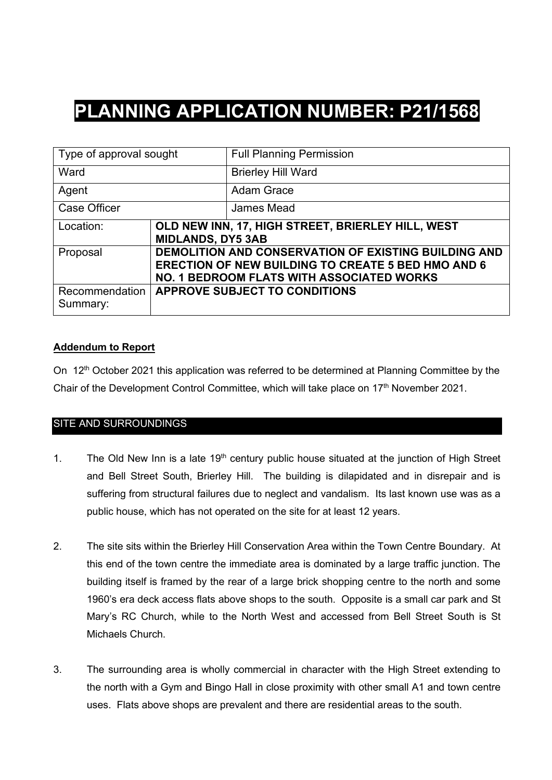# **PLANNING APPLICATION NUMBER: P21/1568**

| Type of approval sought    |                          | <b>Full Planning Permission</b>                                                                                                                                              |  |  |
|----------------------------|--------------------------|------------------------------------------------------------------------------------------------------------------------------------------------------------------------------|--|--|
| Ward                       |                          | <b>Brierley Hill Ward</b>                                                                                                                                                    |  |  |
| Agent                      |                          | <b>Adam Grace</b>                                                                                                                                                            |  |  |
| <b>Case Officer</b>        |                          | James Mead                                                                                                                                                                   |  |  |
| Location:                  | <b>MIDLANDS, DY5 3AB</b> | OLD NEW INN, 17, HIGH STREET, BRIERLEY HILL, WEST                                                                                                                            |  |  |
| Proposal                   |                          | <b>DEMOLITION AND CONSERVATION OF EXISTING BUILDING AND</b><br><b>ERECTION OF NEW BUILDING TO CREATE 5 BED HMO AND 6</b><br><b>NO. 1 BEDROOM FLATS WITH ASSOCIATED WORKS</b> |  |  |
| Recommendation<br>Summary: |                          | <b>APPROVE SUBJECT TO CONDITIONS</b>                                                                                                                                         |  |  |

# **Addendum to Report**

On 12<sup>th</sup> October 2021 this application was referred to be determined at Planning Committee by the Chair of the Development Control Committee, which will take place on 17<sup>th</sup> November 2021.

# SITE AND SURROUNDINGS

- 1. The Old New Inn is a late  $19<sup>th</sup>$  century public house situated at the junction of High Street and Bell Street South, Brierley Hill. The building is dilapidated and in disrepair and is suffering from structural failures due to neglect and vandalism. Its last known use was as a public house, which has not operated on the site for at least 12 years.
- 2. The site sits within the Brierley Hill Conservation Area within the Town Centre Boundary. At this end of the town centre the immediate area is dominated by a large traffic junction. The building itself is framed by the rear of a large brick shopping centre to the north and some 1960's era deck access flats above shops to the south. Opposite is a small car park and St Mary's RC Church, while to the North West and accessed from Bell Street South is St Michaels Church.
- 3. The surrounding area is wholly commercial in character with the High Street extending to the north with a Gym and Bingo Hall in close proximity with other small A1 and town centre uses. Flats above shops are prevalent and there are residential areas to the south.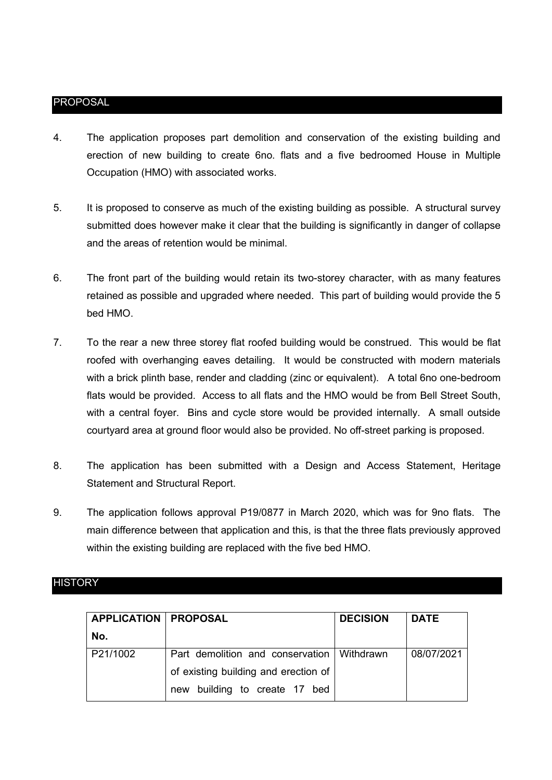### PROPOSAL

- 4. The application proposes part demolition and conservation of the existing building and erection of new building to create 6no. flats and a five bedroomed House in Multiple Occupation (HMO) with associated works.
- 5. It is proposed to conserve as much of the existing building as possible. A structural survey submitted does however make it clear that the building is significantly in danger of collapse and the areas of retention would be minimal.
- 6. The front part of the building would retain its two-storey character, with as many features retained as possible and upgraded where needed. This part of building would provide the 5 bed HMO.
- 7. To the rear a new three storey flat roofed building would be construed. This would be flat roofed with overhanging eaves detailing. It would be constructed with modern materials with a brick plinth base, render and cladding (zinc or equivalent). A total 6no one-bedroom flats would be provided. Access to all flats and the HMO would be from Bell Street South, with a central foyer. Bins and cycle store would be provided internally. A small outside courtyard area at ground floor would also be provided. No off-street parking is proposed.
- 8. The application has been submitted with a Design and Access Statement, Heritage Statement and Structural Report.
- 9. The application follows approval P19/0877 in March 2020, which was for 9no flats. The main difference between that application and this, is that the three flats previously approved within the existing building are replaced with the five bed HMO.

#### **HISTORY**

| <b>APPLICATION   PROPOSAL</b> |                                              | <b>DECISION</b> | <b>DATE</b> |
|-------------------------------|----------------------------------------------|-----------------|-------------|
| No.                           |                                              |                 |             |
| P21/1002                      | Part demolition and conservation   Withdrawn |                 | 08/07/2021  |
|                               | of existing building and erection of         |                 |             |
|                               | building to create 17 bed<br>new             |                 |             |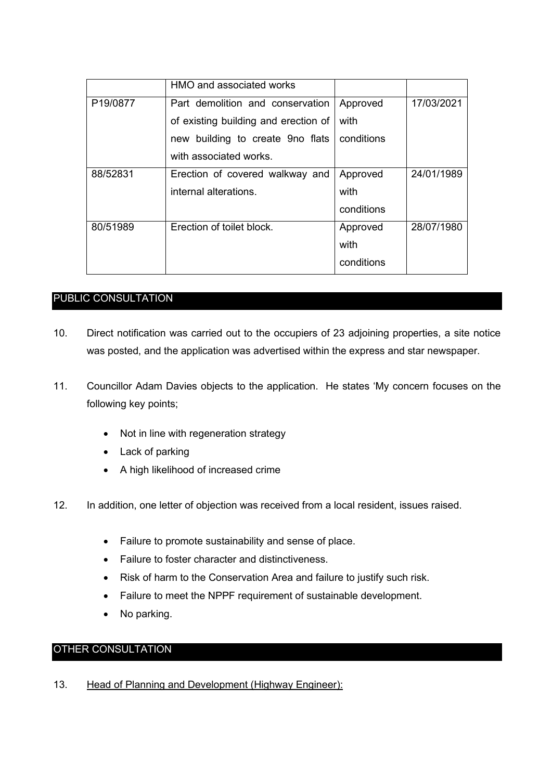|          | HMO and associated works             |            |            |
|----------|--------------------------------------|------------|------------|
| P19/0877 | Part demolition and conservation     | Approved   | 17/03/2021 |
|          | of existing building and erection of | with       |            |
|          | new building to create 9no flats     | conditions |            |
|          | with associated works.               |            |            |
| 88/52831 | Erection of covered walkway and      | Approved   | 24/01/1989 |
|          | internal alterations.                | with       |            |
|          |                                      | conditions |            |
| 80/51989 | Erection of toilet block.            | Approved   | 28/07/1980 |
|          |                                      | with       |            |
|          |                                      | conditions |            |

# PUBLIC CONSULTATION

- 10. Direct notification was carried out to the occupiers of 23 adjoining properties, a site notice was posted, and the application was advertised within the express and star newspaper.
- 11. Councillor Adam Davies objects to the application. He states 'My concern focuses on the following key points;
	- Not in line with regeneration strategy
	- Lack of parking
	- A high likelihood of increased crime
- 12. In addition, one letter of objection was received from a local resident, issues raised.
	- Failure to promote sustainability and sense of place.
	- Failure to foster character and distinctiveness.
	- Risk of harm to the Conservation Area and failure to justify such risk.
	- Failure to meet the NPPF requirement of sustainable development.
	- No parking.

# OTHER CONSULTATION

13. Head of Planning and Development (Highway Engineer):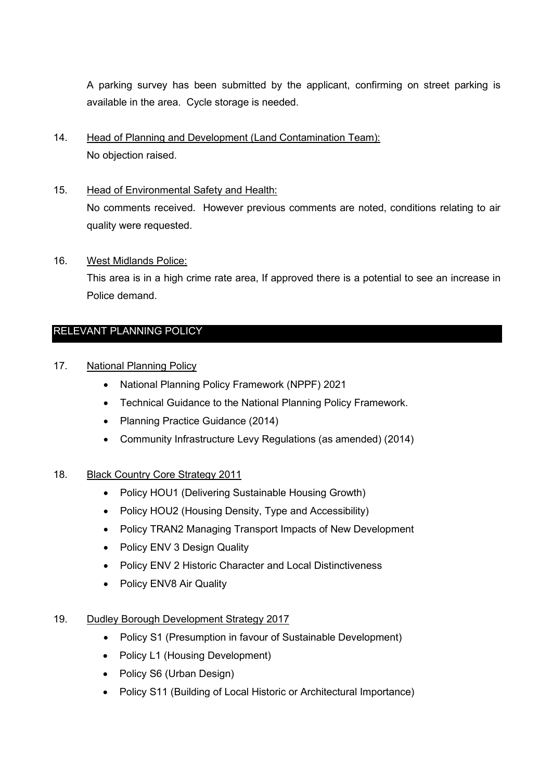A parking survey has been submitted by the applicant, confirming on street parking is available in the area. Cycle storage is needed.

- 14. Head of Planning and Development (Land Contamination Team): No objection raised.
- 15. Head of Environmental Safety and Health: No comments received. However previous comments are noted, conditions relating to air quality were requested.
- 16. West Midlands Police:

This area is in a high crime rate area, If approved there is a potential to see an increase in Police demand.

# RELEVANT PLANNING POLICY

- 17. National Planning Policy
	- National Planning Policy Framework (NPPF) 2021
	- Technical Guidance to the National Planning Policy Framework.
	- Planning Practice Guidance (2014)
	- Community Infrastructure Levy Regulations (as amended) (2014)

# 18. Black Country Core Strategy 2011

- Policy HOU1 (Delivering Sustainable Housing Growth)
- Policy HOU2 (Housing Density, Type and Accessibility)
- Policy TRAN2 Managing Transport Impacts of New Development
- Policy ENV 3 Design Quality
- Policy ENV 2 Historic Character and Local Distinctiveness
- Policy ENV8 Air Quality

# 19. Dudley Borough Development Strategy 2017

- Policy S1 (Presumption in favour of Sustainable Development)
- Policy L1 (Housing Development)
- Policy S6 (Urban Design)
- Policy S11 (Building of Local Historic or Architectural Importance)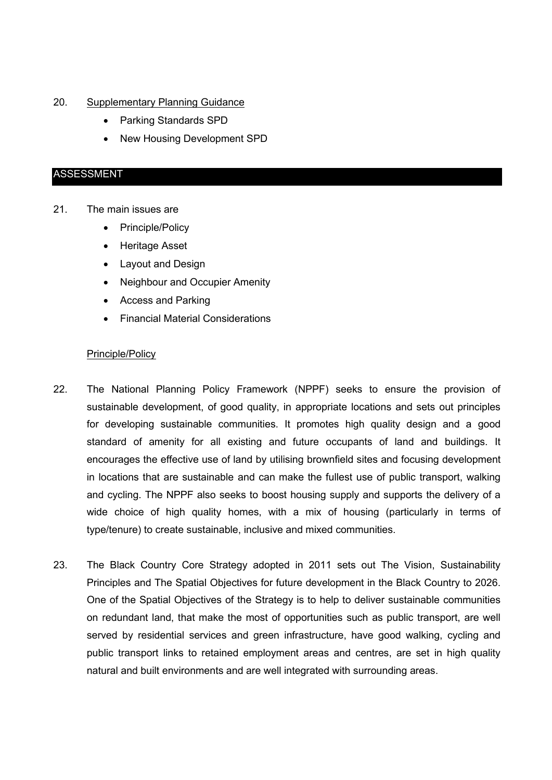#### 20. Supplementary Planning Guidance

- Parking Standards SPD
- New Housing Development SPD

#### ASSESSMENT

### 21. The main issues are

- Principle/Policy
- Heritage Asset
- Layout and Design
- Neighbour and Occupier Amenity
- Access and Parking
- Financial Material Considerations

#### Principle/Policy

- 22. The National Planning Policy Framework (NPPF) seeks to ensure the provision of sustainable development, of good quality, in appropriate locations and sets out principles for developing sustainable communities. It promotes high quality design and a good standard of amenity for all existing and future occupants of land and buildings. It encourages the effective use of land by utilising brownfield sites and focusing development in locations that are sustainable and can make the fullest use of public transport, walking and cycling. The NPPF also seeks to boost housing supply and supports the delivery of a wide choice of high quality homes, with a mix of housing (particularly in terms of type/tenure) to create sustainable, inclusive and mixed communities.
- 23. The Black Country Core Strategy adopted in 2011 sets out The Vision, Sustainability Principles and The Spatial Objectives for future development in the Black Country to 2026. One of the Spatial Objectives of the Strategy is to help to deliver sustainable communities on redundant land, that make the most of opportunities such as public transport, are well served by residential services and green infrastructure, have good walking, cycling and public transport links to retained employment areas and centres, are set in high quality natural and built environments and are well integrated with surrounding areas.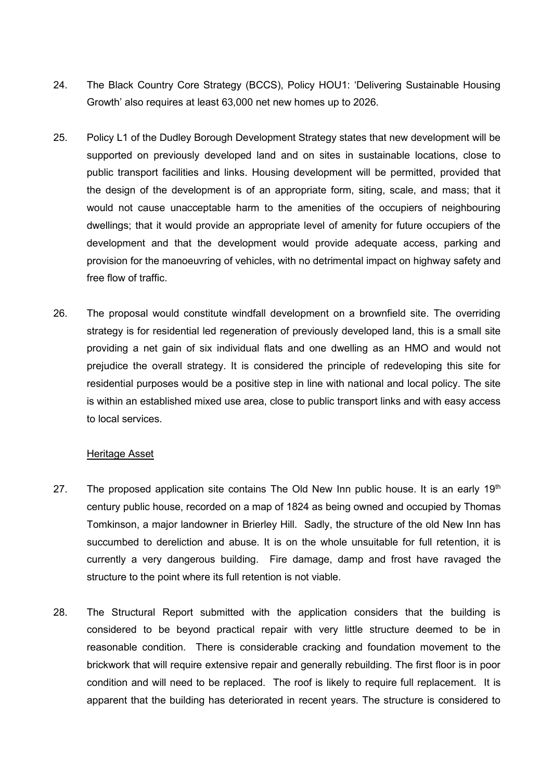- 24. The Black Country Core Strategy (BCCS), Policy HOU1: 'Delivering Sustainable Housing Growth' also requires at least 63,000 net new homes up to 2026.
- 25. Policy L1 of the Dudley Borough Development Strategy states that new development will be supported on previously developed land and on sites in sustainable locations, close to public transport facilities and links. Housing development will be permitted, provided that the design of the development is of an appropriate form, siting, scale, and mass; that it would not cause unacceptable harm to the amenities of the occupiers of neighbouring dwellings; that it would provide an appropriate level of amenity for future occupiers of the development and that the development would provide adequate access, parking and provision for the manoeuvring of vehicles, with no detrimental impact on highway safety and free flow of traffic.
- 26. The proposal would constitute windfall development on a brownfield site. The overriding strategy is for residential led regeneration of previously developed land, this is a small site providing a net gain of six individual flats and one dwelling as an HMO and would not prejudice the overall strategy. It is considered the principle of redeveloping this site for residential purposes would be a positive step in line with national and local policy. The site is within an established mixed use area, close to public transport links and with easy access to local services.

### Heritage Asset

- 27. The proposed application site contains The Old New Inn public house. It is an early  $19<sup>th</sup>$ century public house, recorded on a map of 1824 as being owned and occupied by Thomas Tomkinson, a major landowner in Brierley Hill. Sadly, the structure of the old New Inn has succumbed to dereliction and abuse. It is on the whole unsuitable for full retention, it is currently a very dangerous building. Fire damage, damp and frost have ravaged the structure to the point where its full retention is not viable.
- 28. The Structural Report submitted with the application considers that the building is considered to be beyond practical repair with very little structure deemed to be in reasonable condition. There is considerable cracking and foundation movement to the brickwork that will require extensive repair and generally rebuilding. The first floor is in poor condition and will need to be replaced. The roof is likely to require full replacement. It is apparent that the building has deteriorated in recent years. The structure is considered to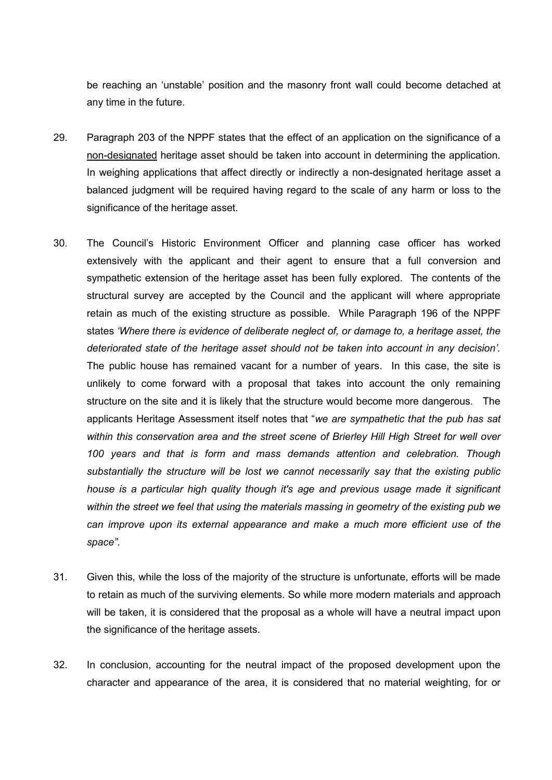be reaching an 'unstable' position and the masonry front wall could become detached at any time in the future.

- 29. Paragraph 203 of the NPPF states that the effect of an application on the significance of a non-designated heritage asset should be taken into account in determining the application. In weighing applications that affect directly or indirectly a non-designated heritage asset a balanced judgment will be required having regard to the scale of any harm or loss to the significance of the heritage asset.
- 30. The Council's Historic Environment Officer and planning case officer has worked extensively with the applicant and their agent to ensure that a full conversion and sympathetic extension of the heritage asset has been fully explored. The contents of the structural survey are accepted by the Council and the applicant will where appropriate retain as much of the existing structure as possible. While Paragraph 196 of the NPPF states *'Where there is evidence of deliberate neglect of, or damage to, a heritage asset, the deteriorated state of the heritage asset should not be taken into account in any decision'.* The public house has remained vacant for a number of years. In this case, the site is unlikely to come forward with a proposal that takes into account the only remaining structure on the site and it is likely that the structure would become more dangerous. The applicants Heritage Assessment itself notes that "*we are sympathetic that the pub has sat within this conservation area and the street scene of Brierley Hill High Street for well over 100 years and that is form and mass demands attention and celebration. Though substantially the structure will be lost we cannot necessarily say that the existing public house is a particular high quality though it's age and previous usage made it significant within the street we feel that using the materials massing in geometry of the existing pub we can improve upon its external appearance and make a much more efficient use of the space".*
- 31. Given this, while the loss of the majority of the structure is unfortunate, efforts will be made to retain as much of the surviving elements. So while more modern materials and approach will be taken, it is considered that the proposal as a whole will have a neutral impact upon the significance of the heritage assets.
- 32. In conclusion, accounting for the neutral impact of the proposed development upon the character and appearance of the area, it is considered that no material weighting, for or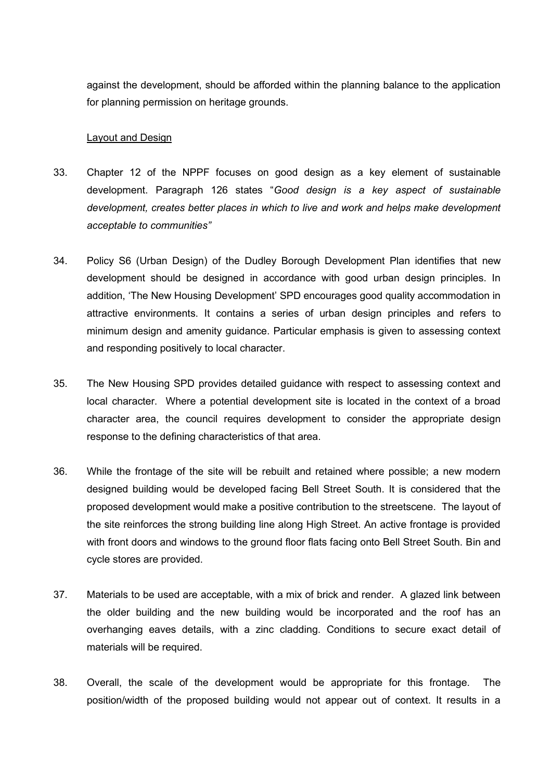against the development, should be afforded within the planning balance to the application for planning permission on heritage grounds.

#### Layout and Design

- 33. Chapter 12 of the NPPF focuses on good design as a key element of sustainable development. Paragraph 126 states "*Good design is a key aspect of sustainable development, creates better places in which to live and work and helps make development acceptable to communities"*
- 34. Policy S6 (Urban Design) of the Dudley Borough Development Plan identifies that new development should be designed in accordance with good urban design principles. In addition, 'The New Housing Development' SPD encourages good quality accommodation in attractive environments. It contains a series of urban design principles and refers to minimum design and amenity guidance. Particular emphasis is given to assessing context and responding positively to local character.
- 35. The New Housing SPD provides detailed guidance with respect to assessing context and local character. Where a potential development site is located in the context of a broad character area, the council requires development to consider the appropriate design response to the defining characteristics of that area.
- 36. While the frontage of the site will be rebuilt and retained where possible; a new modern designed building would be developed facing Bell Street South. It is considered that the proposed development would make a positive contribution to the streetscene. The layout of the site reinforces the strong building line along High Street. An active frontage is provided with front doors and windows to the ground floor flats facing onto Bell Street South. Bin and cycle stores are provided.
- 37. Materials to be used are acceptable, with a mix of brick and render. A glazed link between the older building and the new building would be incorporated and the roof has an overhanging eaves details, with a zinc cladding. Conditions to secure exact detail of materials will be required.
- 38. Overall, the scale of the development would be appropriate for this frontage. The position/width of the proposed building would not appear out of context. It results in a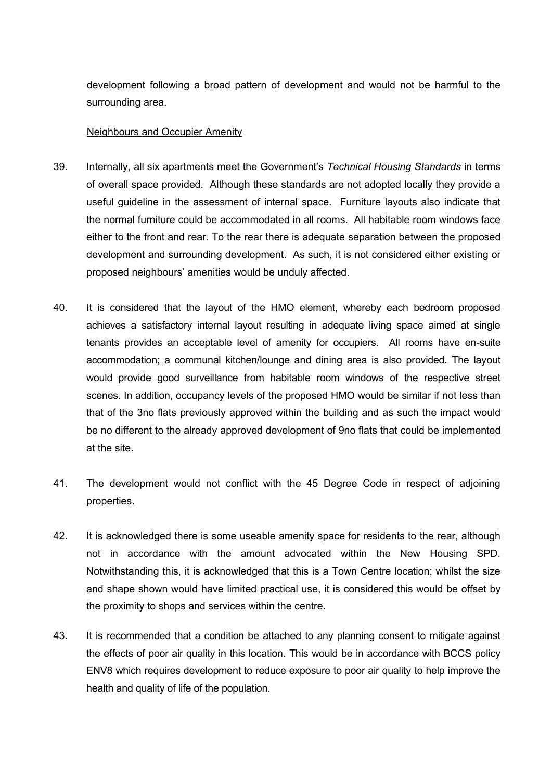development following a broad pattern of development and would not be harmful to the surrounding area.

#### Neighbours and Occupier Amenity

- 39. Internally, all six apartments meet the Government's *Technical Housing Standards* in terms of overall space provided. Although these standards are not adopted locally they provide a useful guideline in the assessment of internal space. Furniture layouts also indicate that the normal furniture could be accommodated in all rooms. All habitable room windows face either to the front and rear. To the rear there is adequate separation between the proposed development and surrounding development. As such, it is not considered either existing or proposed neighbours' amenities would be unduly affected.
- 40. It is considered that the layout of the HMO element, whereby each bedroom proposed achieves a satisfactory internal layout resulting in adequate living space aimed at single tenants provides an acceptable level of amenity for occupiers. All rooms have en-suite accommodation; a communal kitchen/lounge and dining area is also provided. The layout would provide good surveillance from habitable room windows of the respective street scenes. In addition, occupancy levels of the proposed HMO would be similar if not less than that of the 3no flats previously approved within the building and as such the impact would be no different to the already approved development of 9no flats that could be implemented at the site.
- 41. The development would not conflict with the 45 Degree Code in respect of adjoining properties.
- 42. It is acknowledged there is some useable amenity space for residents to the rear, although not in accordance with the amount advocated within the New Housing SPD. Notwithstanding this, it is acknowledged that this is a Town Centre location; whilst the size and shape shown would have limited practical use, it is considered this would be offset by the proximity to shops and services within the centre.
- 43. It is recommended that a condition be attached to any planning consent to mitigate against the effects of poor air quality in this location. This would be in accordance with BCCS policy ENV8 which requires development to reduce exposure to poor air quality to help improve the health and quality of life of the population.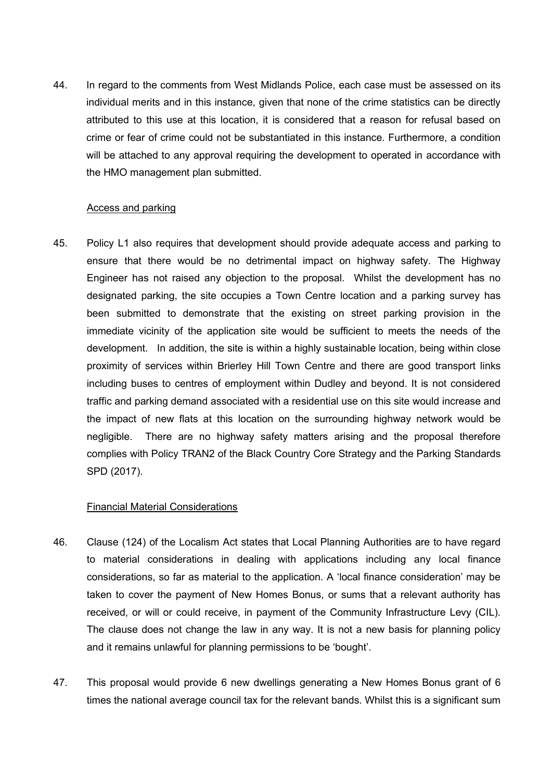44. In regard to the comments from West Midlands Police, each case must be assessed on its individual merits and in this instance, given that none of the crime statistics can be directly attributed to this use at this location, it is considered that a reason for refusal based on crime or fear of crime could not be substantiated in this instance. Furthermore, a condition will be attached to any approval requiring the development to operated in accordance with the HMO management plan submitted.

### Access and parking

45. Policy L1 also requires that development should provide adequate access and parking to ensure that there would be no detrimental impact on highway safety. The Highway Engineer has not raised any objection to the proposal. Whilst the development has no designated parking, the site occupies a Town Centre location and a parking survey has been submitted to demonstrate that the existing on street parking provision in the immediate vicinity of the application site would be sufficient to meets the needs of the development. In addition, the site is within a highly sustainable location, being within close proximity of services within Brierley Hill Town Centre and there are good transport links including buses to centres of employment within Dudley and beyond. It is not considered traffic and parking demand associated with a residential use on this site would increase and the impact of new flats at this location on the surrounding highway network would be negligible. There are no highway safety matters arising and the proposal therefore complies with Policy TRAN2 of the Black Country Core Strategy and the Parking Standards SPD (2017).

# Financial Material Considerations

- 46. Clause (124) of the Localism Act states that Local Planning Authorities are to have regard to material considerations in dealing with applications including any local finance considerations, so far as material to the application. A 'local finance consideration' may be taken to cover the payment of New Homes Bonus, or sums that a relevant authority has received, or will or could receive, in payment of the Community Infrastructure Levy (CIL). The clause does not change the law in any way. It is not a new basis for planning policy and it remains unlawful for planning permissions to be 'bought'.
- 47. This proposal would provide 6 new dwellings generating a New Homes Bonus grant of 6 times the national average council tax for the relevant bands. Whilst this is a significant sum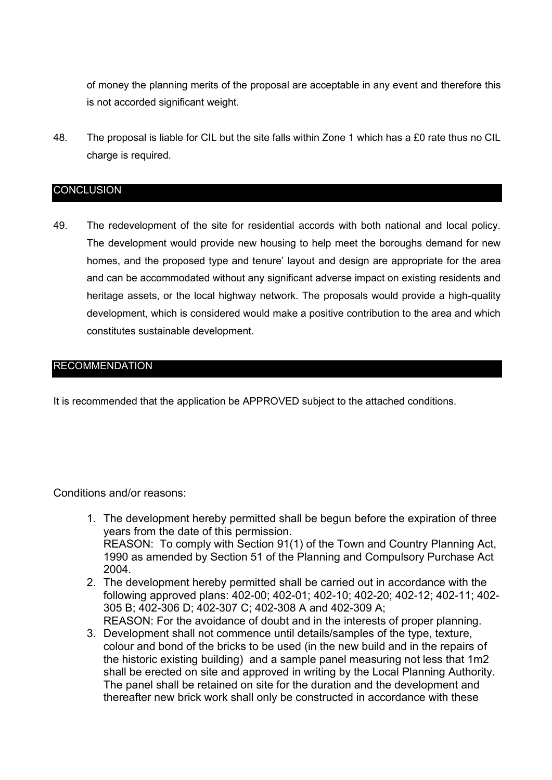of money the planning merits of the proposal are acceptable in any event and therefore this is not accorded significant weight.

48. The proposal is liable for CIL but the site falls within Zone 1 which has a £0 rate thus no CIL charge is required.

### CONCLUSION

49. The redevelopment of the site for residential accords with both national and local policy. The development would provide new housing to help meet the boroughs demand for new homes, and the proposed type and tenure' layout and design are appropriate for the area and can be accommodated without any significant adverse impact on existing residents and heritage assets, or the local highway network. The proposals would provide a high-quality development, which is considered would make a positive contribution to the area and which constitutes sustainable development.

# RECOMMENDATION

It is recommended that the application be APPROVED subject to the attached conditions.

### Conditions and/or reasons:

- 1. The development hereby permitted shall be begun before the expiration of three years from the date of this permission. REASON: To comply with Section 91(1) of the Town and Country Planning Act, 1990 as amended by Section 51 of the Planning and Compulsory Purchase Act 2004.
- 2. The development hereby permitted shall be carried out in accordance with the following approved plans: 402-00; 402-01; 402-10; 402-20; 402-12; 402-11; 402- 305 B; 402-306 D; 402-307 C; 402-308 A and 402-309 A; REASON: For the avoidance of doubt and in the interests of proper planning.
- 3. Development shall not commence until details/samples of the type, texture, colour and bond of the bricks to be used (in the new build and in the repairs of the historic existing building) and a sample panel measuring not less that 1m2 shall be erected on site and approved in writing by the Local Planning Authority. The panel shall be retained on site for the duration and the development and thereafter new brick work shall only be constructed in accordance with these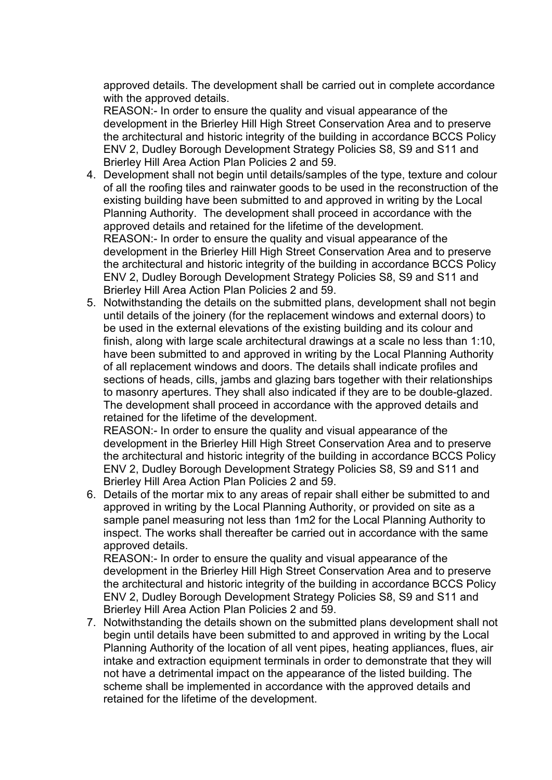approved details. The development shall be carried out in complete accordance with the approved details.

REASON:- In order to ensure the quality and visual appearance of the development in the Brierley Hill High Street Conservation Area and to preserve the architectural and historic integrity of the building in accordance BCCS Policy ENV 2, Dudley Borough Development Strategy Policies S8, S9 and S11 and Brierley Hill Area Action Plan Policies 2 and 59.

- 4. Development shall not begin until details/samples of the type, texture and colour of all the roofing tiles and rainwater goods to be used in the reconstruction of the existing building have been submitted to and approved in writing by the Local Planning Authority. The development shall proceed in accordance with the approved details and retained for the lifetime of the development. REASON:- In order to ensure the quality and visual appearance of the development in the Brierley Hill High Street Conservation Area and to preserve the architectural and historic integrity of the building in accordance BCCS Policy ENV 2, Dudley Borough Development Strategy Policies S8, S9 and S11 and Brierley Hill Area Action Plan Policies 2 and 59.
- 5. Notwithstanding the details on the submitted plans, development shall not begin until details of the joinery (for the replacement windows and external doors) to be used in the external elevations of the existing building and its colour and finish, along with large scale architectural drawings at a scale no less than 1:10, have been submitted to and approved in writing by the Local Planning Authority of all replacement windows and doors. The details shall indicate profiles and sections of heads, cills, jambs and glazing bars together with their relationships to masonry apertures. They shall also indicated if they are to be double-glazed. The development shall proceed in accordance with the approved details and retained for the lifetime of the development.

REASON:- In order to ensure the quality and visual appearance of the development in the Brierley Hill High Street Conservation Area and to preserve the architectural and historic integrity of the building in accordance BCCS Policy ENV 2, Dudley Borough Development Strategy Policies S8, S9 and S11 and Brierley Hill Area Action Plan Policies 2 and 59.

6. Details of the mortar mix to any areas of repair shall either be submitted to and approved in writing by the Local Planning Authority, or provided on site as a sample panel measuring not less than 1m2 for the Local Planning Authority to inspect. The works shall thereafter be carried out in accordance with the same approved details.

REASON:- In order to ensure the quality and visual appearance of the development in the Brierley Hill High Street Conservation Area and to preserve the architectural and historic integrity of the building in accordance BCCS Policy ENV 2, Dudley Borough Development Strategy Policies S8, S9 and S11 and Brierley Hill Area Action Plan Policies 2 and 59.

7. Notwithstanding the details shown on the submitted plans development shall not begin until details have been submitted to and approved in writing by the Local Planning Authority of the location of all vent pipes, heating appliances, flues, air intake and extraction equipment terminals in order to demonstrate that they will not have a detrimental impact on the appearance of the listed building. The scheme shall be implemented in accordance with the approved details and retained for the lifetime of the development.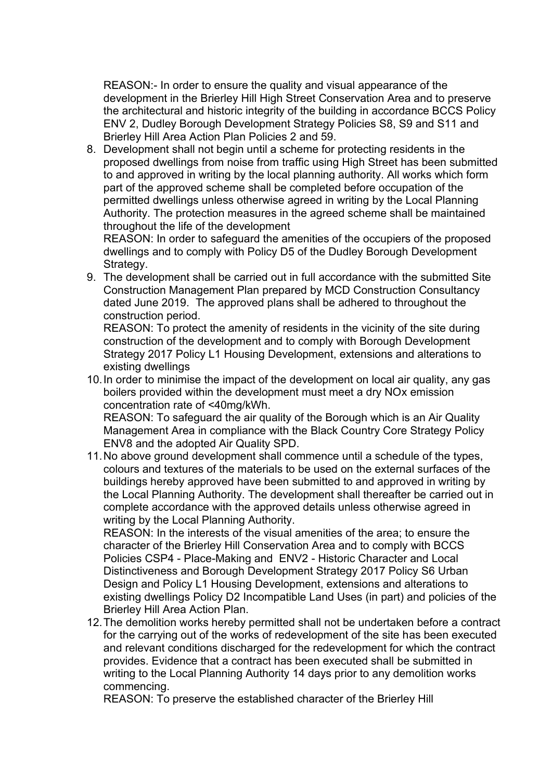REASON:- In order to ensure the quality and visual appearance of the development in the Brierley Hill High Street Conservation Area and to preserve the architectural and historic integrity of the building in accordance BCCS Policy ENV 2, Dudley Borough Development Strategy Policies S8, S9 and S11 and Brierley Hill Area Action Plan Policies 2 and 59.

8. Development shall not begin until a scheme for protecting residents in the proposed dwellings from noise from traffic using High Street has been submitted to and approved in writing by the local planning authority. All works which form part of the approved scheme shall be completed before occupation of the permitted dwellings unless otherwise agreed in writing by the Local Planning Authority. The protection measures in the agreed scheme shall be maintained throughout the life of the development

REASON: In order to safeguard the amenities of the occupiers of the proposed dwellings and to comply with Policy D5 of the Dudley Borough Development Strategy.

9. The development shall be carried out in full accordance with the submitted Site Construction Management Plan prepared by MCD Construction Consultancy dated June 2019. The approved plans shall be adhered to throughout the construction period.

REASON: To protect the amenity of residents in the vicinity of the site during construction of the development and to comply with Borough Development Strategy 2017 Policy L1 Housing Development, extensions and alterations to existing dwellings

10.In order to minimise the impact of the development on local air quality, any gas boilers provided within the development must meet a dry NOx emission concentration rate of <40mg/kWh.

REASON: To safeguard the air quality of the Borough which is an Air Quality Management Area in compliance with the Black Country Core Strategy Policy ENV8 and the adopted Air Quality SPD.

11.No above ground development shall commence until a schedule of the types, colours and textures of the materials to be used on the external surfaces of the buildings hereby approved have been submitted to and approved in writing by the Local Planning Authority. The development shall thereafter be carried out in complete accordance with the approved details unless otherwise agreed in writing by the Local Planning Authority.

REASON: In the interests of the visual amenities of the area; to ensure the character of the Brierley Hill Conservation Area and to comply with BCCS Policies CSP4 - Place-Making and ENV2 - Historic Character and Local Distinctiveness and Borough Development Strategy 2017 Policy S6 Urban Design and Policy L1 Housing Development, extensions and alterations to existing dwellings Policy D2 Incompatible Land Uses (in part) and policies of the Brierley Hill Area Action Plan.

12.The demolition works hereby permitted shall not be undertaken before a contract for the carrying out of the works of redevelopment of the site has been executed and relevant conditions discharged for the redevelopment for which the contract provides. Evidence that a contract has been executed shall be submitted in writing to the Local Planning Authority 14 days prior to any demolition works commencing.

REASON: To preserve the established character of the Brierley Hill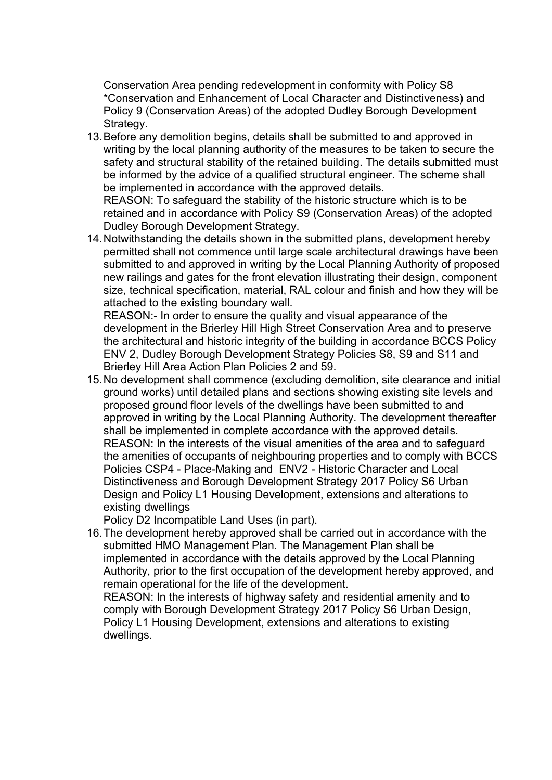Conservation Area pending redevelopment in conformity with Policy S8 \*Conservation and Enhancement of Local Character and Distinctiveness) and Policy 9 (Conservation Areas) of the adopted Dudley Borough Development Strategy.

13.Before any demolition begins, details shall be submitted to and approved in writing by the local planning authority of the measures to be taken to secure the safety and structural stability of the retained building. The details submitted must be informed by the advice of a qualified structural engineer. The scheme shall be implemented in accordance with the approved details.

REASON: To safeguard the stability of the historic structure which is to be retained and in accordance with Policy S9 (Conservation Areas) of the adopted Dudley Borough Development Strategy.

14.Notwithstanding the details shown in the submitted plans, development hereby permitted shall not commence until large scale architectural drawings have been submitted to and approved in writing by the Local Planning Authority of proposed new railings and gates for the front elevation illustrating their design, component size, technical specification, material, RAL colour and finish and how they will be attached to the existing boundary wall.

REASON:- In order to ensure the quality and visual appearance of the development in the Brierley Hill High Street Conservation Area and to preserve the architectural and historic integrity of the building in accordance BCCS Policy ENV 2, Dudley Borough Development Strategy Policies S8, S9 and S11 and Brierley Hill Area Action Plan Policies 2 and 59.

15.No development shall commence (excluding demolition, site clearance and initial ground works) until detailed plans and sections showing existing site levels and proposed ground floor levels of the dwellings have been submitted to and approved in writing by the Local Planning Authority. The development thereafter shall be implemented in complete accordance with the approved details. REASON: In the interests of the visual amenities of the area and to safeguard the amenities of occupants of neighbouring properties and to comply with BCCS Policies CSP4 - Place-Making and ENV2 - Historic Character and Local Distinctiveness and Borough Development Strategy 2017 Policy S6 Urban Design and Policy L1 Housing Development, extensions and alterations to existing dwellings

Policy D2 Incompatible Land Uses (in part).

16.The development hereby approved shall be carried out in accordance with the submitted HMO Management Plan. The Management Plan shall be implemented in accordance with the details approved by the Local Planning Authority, prior to the first occupation of the development hereby approved, and remain operational for the life of the development.

REASON: In the interests of highway safety and residential amenity and to comply with Borough Development Strategy 2017 Policy S6 Urban Design, Policy L1 Housing Development, extensions and alterations to existing dwellings.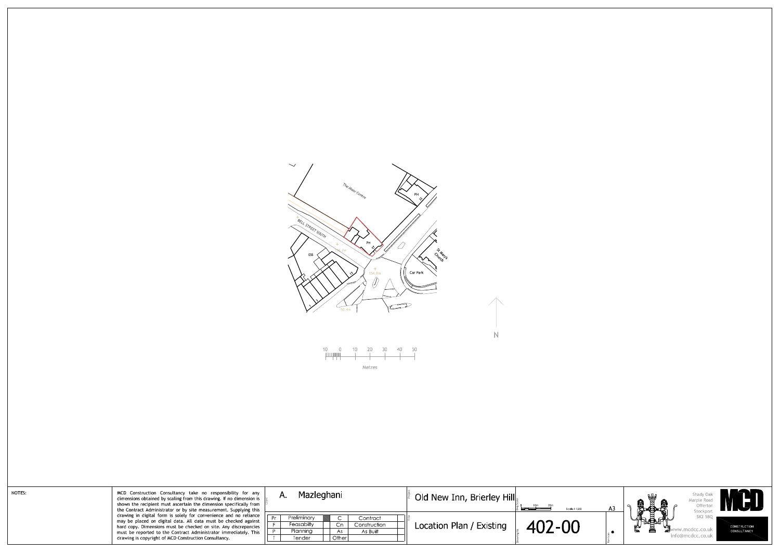

| NOTES: | MCD Construction Consultancy take no responsibility for any<br>dimensions obtained by scaling from this drawing. If no dimension is<br>shown the recipient must ascertain the dimension specifically from<br>the Contract Administrator or by site measurement. Supplying this<br>drawing in digital form is solely for convenience and no reliance<br>may be placed on digital data. All data must be checked against<br>hard copy. Dimensions must be checked on site. Any discrepancies<br>must be reported to the Contract Administrator immediately. This<br>drawing is copyright of MCD Construction Consultancy. | Α. | Mazleghani                                      |                    |                                      | Old New Inn, Brierley Hill |        |  |
|--------|-------------------------------------------------------------------------------------------------------------------------------------------------------------------------------------------------------------------------------------------------------------------------------------------------------------------------------------------------------------------------------------------------------------------------------------------------------------------------------------------------------------------------------------------------------------------------------------------------------------------------|----|-------------------------------------------------|--------------------|--------------------------------------|----------------------------|--------|--|
|        |                                                                                                                                                                                                                                                                                                                                                                                                                                                                                                                                                                                                                         |    | Preliminary<br>Feasabilty<br>Planning<br>Tender | Cn.<br>As<br>Other | Contract<br>Construction<br>As Built | Location Plan / Existing   | 402-00 |  |

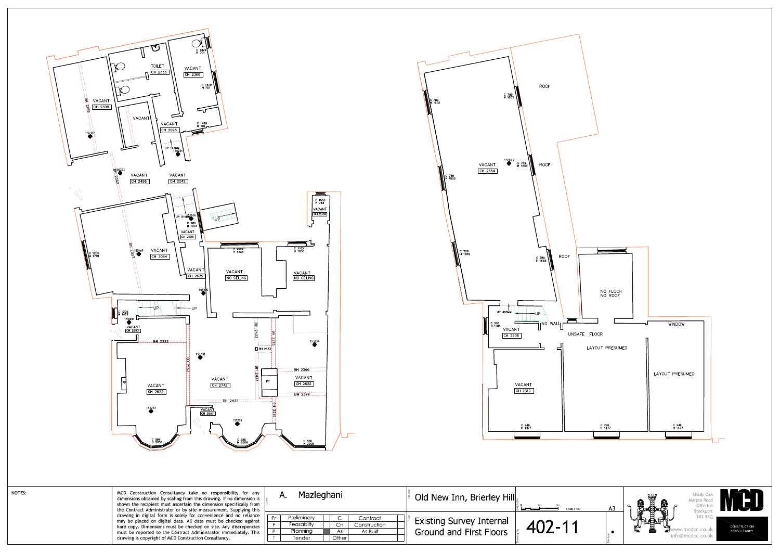



| MCD Construction Consultancy take no responsibility for any<br>dimensions obtained by scaling from this drawing. If no dimension is<br>shown the recipient must ascertain the dimension specifically from<br>the Contract Administrator or by site measurement. Supplying this<br>drawing in digital form is solely for convenience and no reliance<br>may be placed on digital data. All data must be checked against<br>hard copy. Dimensions must be checked on site. Any discrepancies<br>must be reported to the Contract Administrator immediately. This<br>drawing is copyright of MCD Construction Consultancy. | Mazleghani<br>Α.                                                                                                                      | Old New Inn, Brierley Hill<br>Scale 1:100                                       |
|-------------------------------------------------------------------------------------------------------------------------------------------------------------------------------------------------------------------------------------------------------------------------------------------------------------------------------------------------------------------------------------------------------------------------------------------------------------------------------------------------------------------------------------------------------------------------------------------------------------------------|---------------------------------------------------------------------------------------------------------------------------------------|---------------------------------------------------------------------------------|
|                                                                                                                                                                                                                                                                                                                                                                                                                                                                                                                                                                                                                         | Preliminary<br>Contract<br>$\subset$<br>◡<br>Feasabilty<br>Construction<br>Cn<br><b>Planning</b><br>As Built<br>As<br>Other<br>Tender | <b>Existing Survey Internal</b><br>$402 - 1'$<br><b>Ground and First Floors</b> |

NOTES:

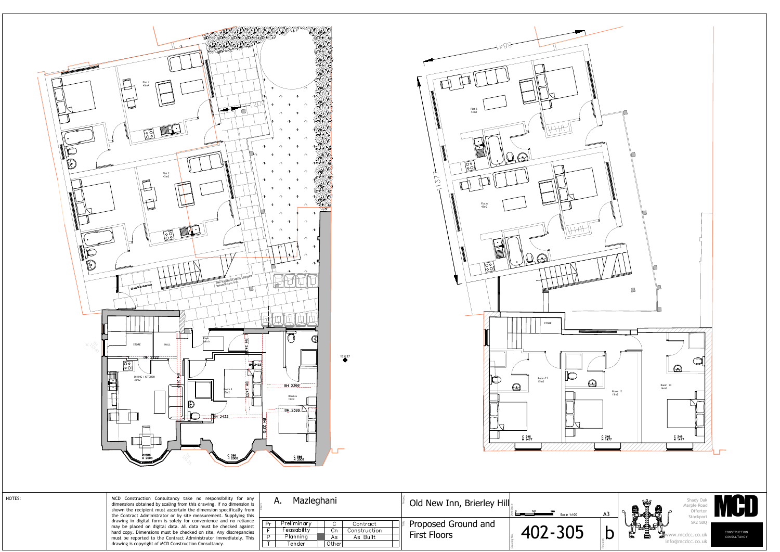





| <del>ਵਿਤਲ</del> ।<br>ਸ 2008<br>C 586<br>H 2008                                                                                                                                                                                                                                                                                        | C 586<br>4_2008                                                                                                     |                                            |             |    |
|---------------------------------------------------------------------------------------------------------------------------------------------------------------------------------------------------------------------------------------------------------------------------------------------------------------------------------------|---------------------------------------------------------------------------------------------------------------------|--------------------------------------------|-------------|----|
| MCD Construction Consultancy take no responsibility for any<br>dimensions obtained by scaling from this drawing. If no dimension is<br>shown the recipient must ascertain the dimension specifically from<br>the Contract Administrator or by site measurement. Supplying this                                                        | Mazleghani<br>A.                                                                                                    | Old New Inn, Brierley Hill                 | Scale 1:100 | A3 |
| drawing in digital form is solely for convenience and no reliance<br>may be placed on digital data. All data must be checked against<br>hard copy. Dimensions must be checked on site. Any discrepancies<br>must be reported to the Contract Administrator immediately. This<br>drawing is copyright of MCD Construction Consultancy. | Preliminary<br>Pr<br>Contract<br>Feasabilty<br>Cn<br>Construction<br>Planning<br>As Built<br>As<br>Otherl<br>Tender | Proposed Ground and<br><b>First Floors</b> | 402-305     |    |